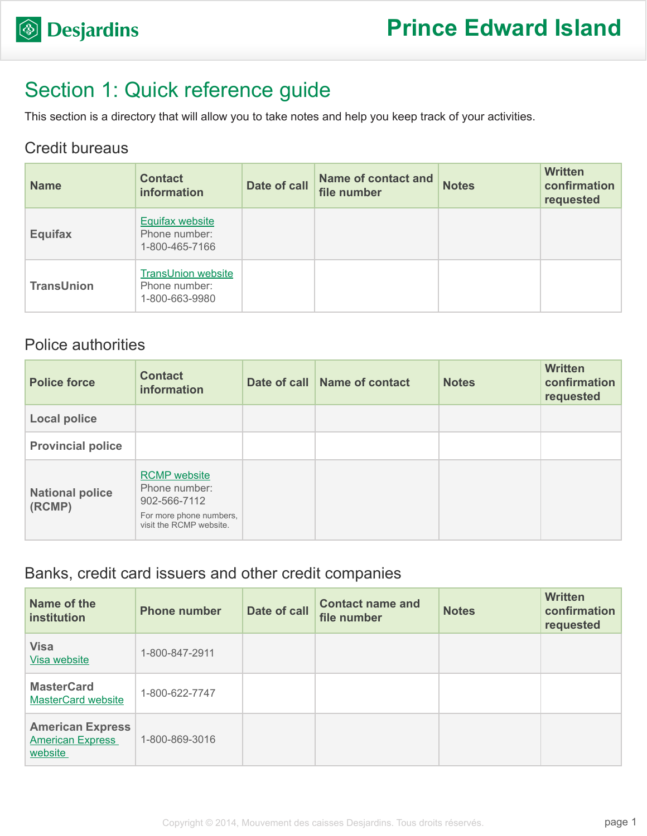

# Section 1: Quick reference guide

This section is a directory that will allow you to take notes and help you keep track of your activities.

### Credit bureaus

| <b>Name</b>       | <b>Contact</b><br>information                                | Date of call | <b>Name of contact and</b><br>file number | <b>Notes</b> | <b>Written</b><br>confirmation<br>requested |
|-------------------|--------------------------------------------------------------|--------------|-------------------------------------------|--------------|---------------------------------------------|
| <b>Equifax</b>    | <b>Equifax website</b><br>Phone number:<br>1-800-465-7166    |              |                                           |              |                                             |
| <b>TransUnion</b> | <b>TransUnion website</b><br>Phone number:<br>1-800-663-9980 |              |                                           |              |                                             |

## Police authorities

| <b>Police force</b>              | <b>Contact</b><br><b>information</b>                                                                       | Date of call Name of contact | <b>Notes</b> | <b>Written</b><br>confirmation<br>requested |
|----------------------------------|------------------------------------------------------------------------------------------------------------|------------------------------|--------------|---------------------------------------------|
| <b>Local police</b>              |                                                                                                            |                              |              |                                             |
| <b>Provincial police</b>         |                                                                                                            |                              |              |                                             |
| <b>National police</b><br>(RCMP) | <b>RCMP</b> website<br>Phone number:<br>902-566-7112<br>For more phone numbers,<br>visit the RCMP website. |                              |              |                                             |

### Banks, credit card issuers and other credit companies

| Name of the<br>institution                                    | <b>Phone number</b> | Date of call | <b>Contact name and</b><br>file number | <b>Notes</b> | <b>Written</b><br>confirmation<br>requested |
|---------------------------------------------------------------|---------------------|--------------|----------------------------------------|--------------|---------------------------------------------|
| <b>Visa</b><br>Visa website                                   | 1-800-847-2911      |              |                                        |              |                                             |
| <b>MasterCard</b><br><b>MasterCard website</b>                | 1-800-622-7747      |              |                                        |              |                                             |
| <b>American Express</b><br><b>American Express</b><br>website | 1-800-869-3016      |              |                                        |              |                                             |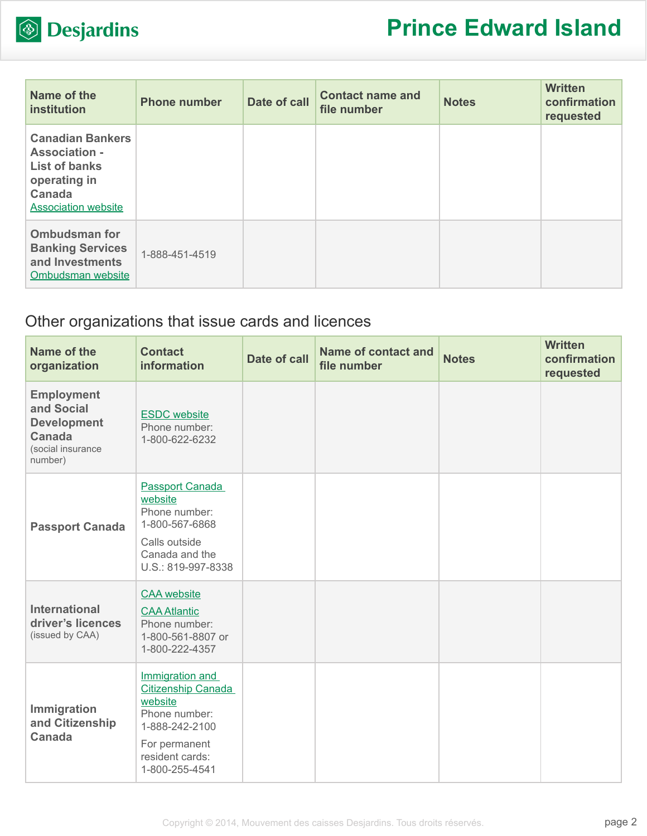

| Name of the<br><b>institution</b>                                                                                               | <b>Phone number</b> | Date of call | <b>Contact name and</b><br>file number | <b>Notes</b> | <b>Written</b><br>confirmation<br>requested |
|---------------------------------------------------------------------------------------------------------------------------------|---------------------|--------------|----------------------------------------|--------------|---------------------------------------------|
| <b>Canadian Bankers</b><br><b>Association -</b><br><b>List of banks</b><br>operating in<br>Canada<br><b>Association website</b> |                     |              |                                        |              |                                             |
| <b>Ombudsman for</b><br><b>Banking Services</b><br>and Investments<br>Ombudsman website                                         | 1-888-451-4519      |              |                                        |              |                                             |

# Other organizations that issue cards and licences

| Name of the<br>organization                                                                     | <b>Contact</b><br><b>information</b>                                                                                                             | <b>Date of call</b> | Name of contact and<br>file number | <b>Notes</b> | <b>Written</b><br>confirmation<br>requested |
|-------------------------------------------------------------------------------------------------|--------------------------------------------------------------------------------------------------------------------------------------------------|---------------------|------------------------------------|--------------|---------------------------------------------|
| <b>Employment</b><br>and Social<br><b>Development</b><br>Canada<br>(social insurance<br>number) | <b>ESDC</b> website<br>Phone number:<br>1-800-622-6232                                                                                           |                     |                                    |              |                                             |
| <b>Passport Canada</b>                                                                          | <b>Passport Canada</b><br>website<br>Phone number:<br>1-800-567-6868<br>Calls outside<br>Canada and the<br>U.S.: 819-997-8338                    |                     |                                    |              |                                             |
| <b>International</b><br>driver's licences<br>(issued by CAA)                                    | <b>CAA</b> website<br><b>CAA Atlantic</b><br>Phone number:<br>1-800-561-8807 or<br>1-800-222-4357                                                |                     |                                    |              |                                             |
| Immigration<br>and Citizenship<br><b>Canada</b>                                                 | Immigration and<br><b>Citizenship Canada</b><br>website<br>Phone number:<br>1-888-242-2100<br>For permanent<br>resident cards:<br>1-800-255-4541 |                     |                                    |              |                                             |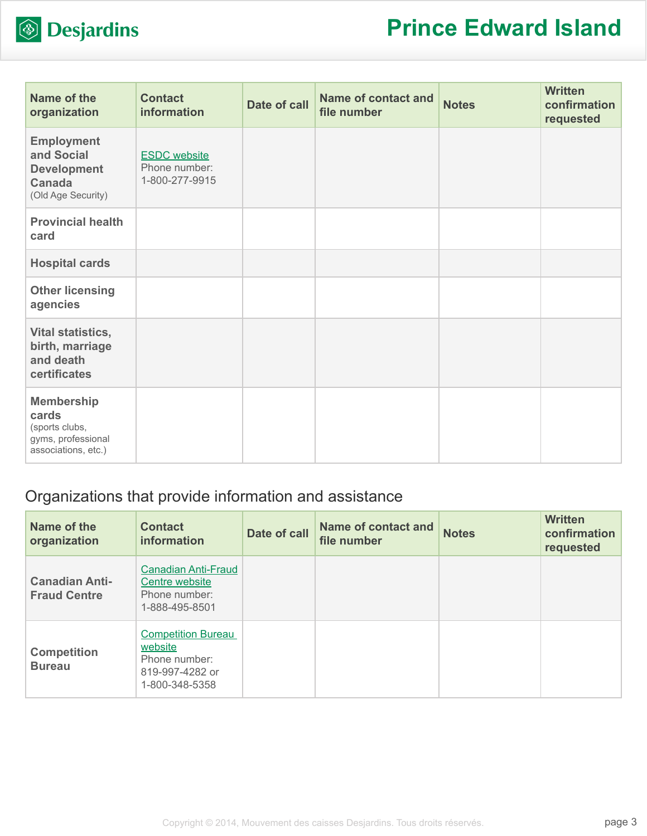

| Name of the<br>organization                                                               | <b>Contact</b><br>information                          | <b>Date of call</b> | <b>Name of contact and</b><br>file number | <b>Notes</b> | <b>Written</b><br>confirmation<br>requested |
|-------------------------------------------------------------------------------------------|--------------------------------------------------------|---------------------|-------------------------------------------|--------------|---------------------------------------------|
| <b>Employment</b><br>and Social<br><b>Development</b><br>Canada<br>(Old Age Security)     | <b>ESDC</b> website<br>Phone number:<br>1-800-277-9915 |                     |                                           |              |                                             |
| <b>Provincial health</b><br>card                                                          |                                                        |                     |                                           |              |                                             |
| <b>Hospital cards</b>                                                                     |                                                        |                     |                                           |              |                                             |
| <b>Other licensing</b><br>agencies                                                        |                                                        |                     |                                           |              |                                             |
| Vital statistics,<br>birth, marriage<br>and death<br>certificates                         |                                                        |                     |                                           |              |                                             |
| <b>Membership</b><br>cards<br>(sports clubs,<br>gyms, professional<br>associations, etc.) |                                                        |                     |                                           |              |                                             |

## Organizations that provide information and assistance

| Name of the<br>organization                  | <b>Contact</b><br>information                                                              | Date of call | <b>Name of contact and</b><br>file number | <b>Notes</b> | <b>Written</b><br>confirmation<br>requested |
|----------------------------------------------|--------------------------------------------------------------------------------------------|--------------|-------------------------------------------|--------------|---------------------------------------------|
| <b>Canadian Anti-</b><br><b>Fraud Centre</b> | <b>Canadian Anti-Fraud</b><br>Centre website<br>Phone number:<br>1-888-495-8501            |              |                                           |              |                                             |
| <b>Competition</b><br><b>Bureau</b>          | <b>Competition Bureau</b><br>website<br>Phone number:<br>819-997-4282 or<br>1-800-348-5358 |              |                                           |              |                                             |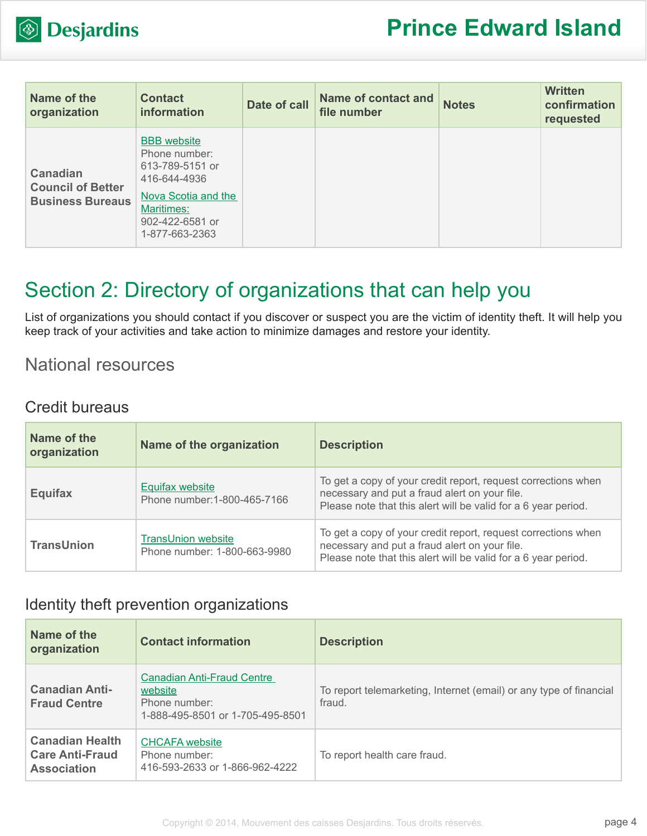

| Name of the<br>organization                                            | <b>Contact</b><br><b>information</b>                                                                                                             | Date of call | <b>Name of contact and</b><br>file number | <b>Notes</b> | <b>Written</b><br>confirmation<br>requested |
|------------------------------------------------------------------------|--------------------------------------------------------------------------------------------------------------------------------------------------|--------------|-------------------------------------------|--------------|---------------------------------------------|
| <b>Canadian</b><br><b>Council of Better</b><br><b>Business Bureaus</b> | <b>BBB</b> website<br>Phone number:<br>613-789-5151 or<br>416-644-4936<br>Nova Scotia and the<br>Maritimes:<br>902-422-6581 or<br>1-877-663-2363 |              |                                           |              |                                             |

# Section 2: Directory of organizations that can help you

List of organizations you should contact if you discover or suspect you are the victim of identity theft. It will help you keep track of your activities and take action to minimize damages and restore your identity.

## National resources

#### Credit bureaus

| Name of the<br>organization | Name of the organization                                  | <b>Description</b>                                                                                                                                                               |
|-----------------------------|-----------------------------------------------------------|----------------------------------------------------------------------------------------------------------------------------------------------------------------------------------|
| Equifax                     | Equifax website<br>Phone number: 1-800-465-7166           | To get a copy of your credit report, request corrections when<br>necessary and put a fraud alert on your file.<br>Please note that this alert will be valid for a 6 year period. |
| <b>TransUnion</b>           | <b>TransUnion website</b><br>Phone number: 1-800-663-9980 | To get a copy of your credit report, request corrections when<br>necessary and put a fraud alert on your file.<br>Please note that this alert will be valid for a 6 year period. |

### Identity theft prevention organizations

| Name of the<br>organization                                            | <b>Contact information</b>                                                                        | <b>Description</b>                                                           |
|------------------------------------------------------------------------|---------------------------------------------------------------------------------------------------|------------------------------------------------------------------------------|
| <b>Canadian Anti-</b><br><b>Fraud Centre</b>                           | <b>Canadian Anti-Fraud Centre</b><br>website<br>Phone number:<br>1-888-495-8501 or 1-705-495-8501 | To report telemarketing, Internet (email) or any type of financial<br>fraud. |
| <b>Canadian Health</b><br><b>Care Anti-Fraud</b><br><b>Association</b> | <b>CHCAFA</b> website<br>Phone number:<br>416-593-2633 or 1-866-962-4222                          | To report health care fraud.                                                 |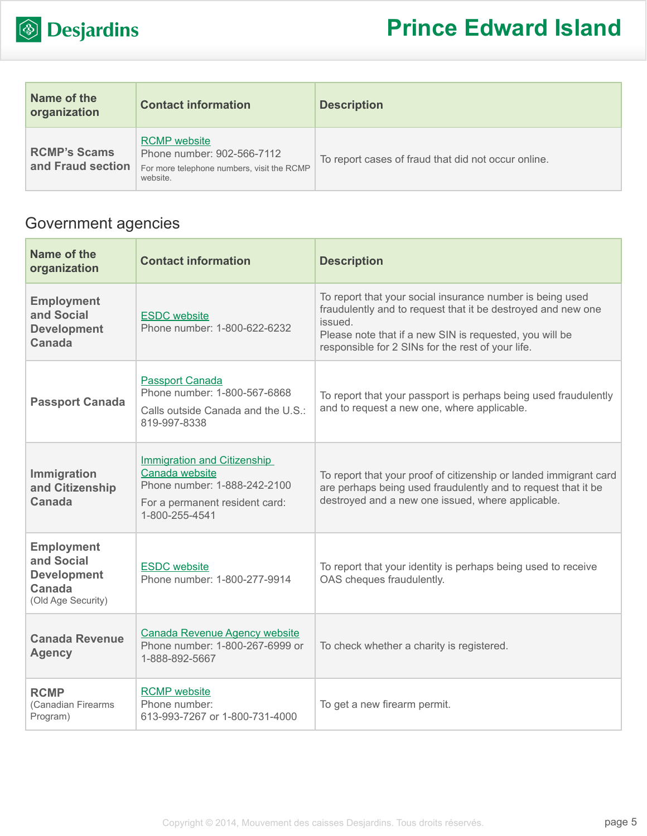

| Name of the<br>organization              | <b>Contact information</b>                                                                                  | <b>Description</b>                                  |
|------------------------------------------|-------------------------------------------------------------------------------------------------------------|-----------------------------------------------------|
| <b>RCMP's Scams</b><br>and Fraud section | <b>RCMP</b> website<br>Phone number: 902-566-7112<br>For more telephone numbers, visit the RCMP<br>website. | To report cases of fraud that did not occur online. |

# Government agencies

| Name of the<br>organization                                                           | <b>Contact information</b>                                                                                                               | <b>Description</b>                                                                                                                                                                                                                                   |
|---------------------------------------------------------------------------------------|------------------------------------------------------------------------------------------------------------------------------------------|------------------------------------------------------------------------------------------------------------------------------------------------------------------------------------------------------------------------------------------------------|
| <b>Employment</b><br>and Social<br><b>Development</b><br>Canada                       | <b>ESDC</b> website<br>Phone number: 1-800-622-6232                                                                                      | To report that your social insurance number is being used<br>fraudulently and to request that it be destroyed and new one<br>issued.<br>Please note that if a new SIN is requested, you will be<br>responsible for 2 SINs for the rest of your life. |
| <b>Passport Canada</b>                                                                | <b>Passport Canada</b><br>Phone number: 1-800-567-6868<br>Calls outside Canada and the U.S.:<br>819-997-8338                             | To report that your passport is perhaps being used fraudulently<br>and to request a new one, where applicable.                                                                                                                                       |
| Immigration<br>and Citizenship<br>Canada                                              | <b>Immigration and Citizenship</b><br>Canada website<br>Phone number: 1-888-242-2100<br>For a permanent resident card:<br>1-800-255-4541 | To report that your proof of citizenship or landed immigrant card<br>are perhaps being used fraudulently and to request that it be<br>destroyed and a new one issued, where applicable.                                                              |
| <b>Employment</b><br>and Social<br><b>Development</b><br>Canada<br>(Old Age Security) | <b>ESDC</b> website<br>Phone number: 1-800-277-9914                                                                                      | To report that your identity is perhaps being used to receive<br>OAS cheques fraudulently.                                                                                                                                                           |
| <b>Canada Revenue</b><br><b>Agency</b>                                                | <b>Canada Revenue Agency website</b><br>Phone number: 1-800-267-6999 or<br>1-888-892-5667                                                | To check whether a charity is registered.                                                                                                                                                                                                            |
| <b>RCMP</b><br>(Canadian Firearms<br>Program)                                         | <b>RCMP</b> website<br>Phone number:<br>613-993-7267 or 1-800-731-4000                                                                   | To get a new firearm permit.                                                                                                                                                                                                                         |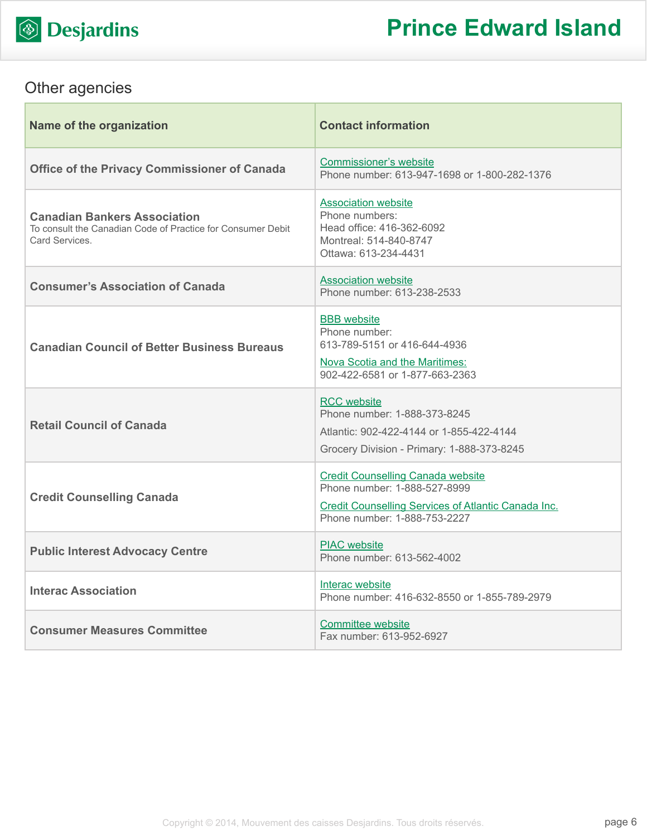

# Other agencies

| Name of the organization                                                                                            | <b>Contact information</b>                                                                                                                                      |
|---------------------------------------------------------------------------------------------------------------------|-----------------------------------------------------------------------------------------------------------------------------------------------------------------|
| <b>Office of the Privacy Commissioner of Canada</b>                                                                 | <b>Commissioner's website</b><br>Phone number: 613-947-1698 or 1-800-282-1376                                                                                   |
| <b>Canadian Bankers Association</b><br>To consult the Canadian Code of Practice for Consumer Debit<br>Card Services | <b>Association website</b><br>Phone numbers:<br>Head office: 416-362-6092<br>Montreal: 514-840-8747<br>Ottawa: 613-234-4431                                     |
| <b>Consumer's Association of Canada</b>                                                                             | <b>Association website</b><br>Phone number: 613-238-2533                                                                                                        |
| <b>Canadian Council of Better Business Bureaus</b>                                                                  | <b>BBB</b> website<br>Phone number:<br>613-789-5151 or 416-644-4936<br>Nova Scotia and the Maritimes:<br>902-422-6581 or 1-877-663-2363                         |
| <b>Retail Council of Canada</b>                                                                                     | <b>RCC</b> website<br>Phone number: 1-888-373-8245<br>Atlantic: 902-422-4144 or 1-855-422-4144<br>Grocery Division - Primary: 1-888-373-8245                    |
| <b>Credit Counselling Canada</b>                                                                                    | <b>Credit Counselling Canada website</b><br>Phone number: 1-888-527-8999<br>Credit Counselling Services of Atlantic Canada Inc.<br>Phone number: 1-888-753-2227 |
| <b>Public Interest Advocacy Centre</b>                                                                              | <b>PIAC</b> website<br>Phone number: 613-562-4002                                                                                                               |
| <b>Interac Association</b>                                                                                          | Interac website<br>Phone number: 416-632-8550 or 1-855-789-2979                                                                                                 |
| <b>Consumer Measures Committee</b>                                                                                  | Committee website<br>Fax number: 613-952-6927                                                                                                                   |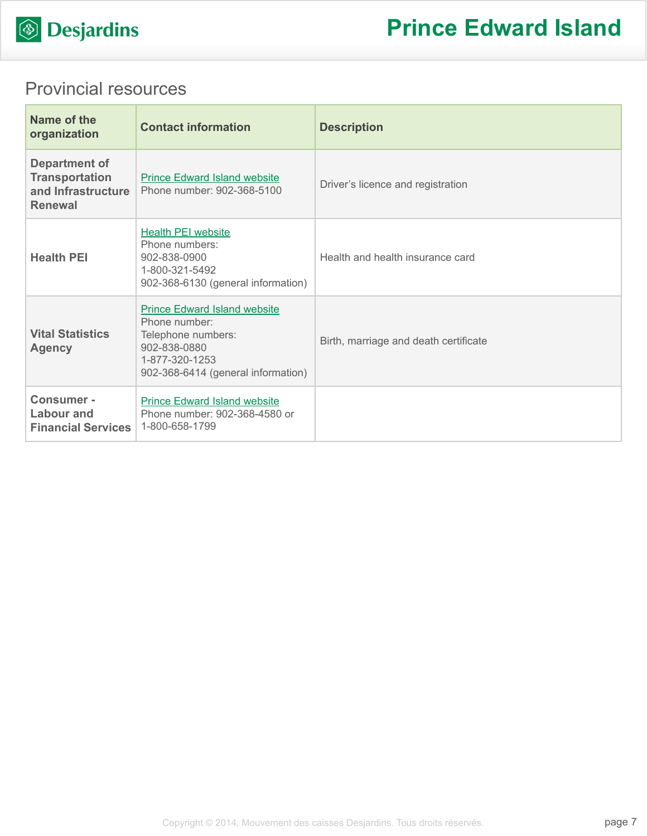

# Provincial resources

| Name of the<br>organization                                                    | <b>Contact information</b>                                                                                                                         | <b>Description</b>                    |
|--------------------------------------------------------------------------------|----------------------------------------------------------------------------------------------------------------------------------------------------|---------------------------------------|
| Department of<br><b>Transportation</b><br>and Infrastructure<br><b>Renewal</b> | <b>Prince Edward Island website</b><br>Phone number: 902-368-5100                                                                                  | Driver's licence and registration     |
| <b>Health PEI</b>                                                              | <b>Health PEI website</b><br>Phone numbers:<br>902-838-0900<br>1-800-321-5492<br>902-368-6130 (general information)                                | Health and health insurance card      |
| <b>Vital Statistics</b><br><b>Agency</b>                                       | <b>Prince Edward Island website</b><br>Phone number:<br>Telephone numbers:<br>902-838-0880<br>1-877-320-1253<br>902-368-6414 (general information) | Birth, marriage and death certificate |
| <b>Consumer -</b><br>Labour and<br><b>Financial Services</b>                   | <b>Prince Edward Island website</b><br>Phone number: 902-368-4580 or<br>1-800-658-1799                                                             |                                       |